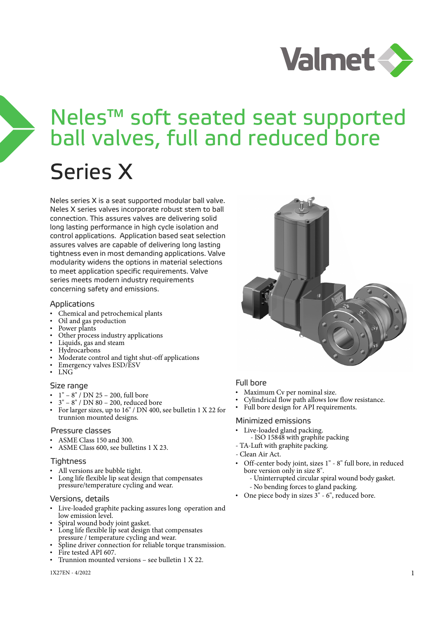

# Neles™ soft seated seat supported ball valves, full and reduced bore

# Series X

Neles series X is a seat supported modular ball valve. Neles X series valves incorporate robust stem to ball connection. This assures valves are delivering solid long lasting performance in high cycle isolation and control applications. Application based seat selection assures valves are capable of delivering long lasting tightness even in most demanding applications. Valve modularity widens the options in material selections to meet application specific requirements. Valve series meets modern industry requirements concerning safety and emissions.

#### Applications

- Chemical and petrochemical plants
- Oil and gas production
- Power plants
- Other process industry applications
- Liquids, gas and steam
- Hydrocarbons
- Moderate control and tight shut-off applications
- Emergency valves ESD/ESV
- LNG

#### Size range

- 1" 8" / DN 25 200, full bore
- 3" 8" / DN 80 200, reduced bore
- For larger sizes, up to 16" / DN 400, see bulletin 1 X 22 for trunnion mounted designs.

#### Pressure classes

- ASME Class 150 and 300.
- ASME Class 600, see bulletins 1 X 23.

#### Tightness

- All versions are bubble tight.
- Long life flexible lip seat design that compensates pressure/temperature cycling and wear.

#### Versions, details

- Live-loaded graphite packing assures long operation and low emission level.
- Spiral wound body joint gasket.
- Long life flexible lip seat design that compensates pressure / temperature cycling and wear.
- Spline driver connection for reliable torque transmission.
- Fire tested API 607.
- Trunnion mounted versions see bulletin 1 X 22.



#### Full bore

- Maximum Cv per nominal size.
- Cylindrical flow path allows low flow resistance.
- Full bore design for API requirements.

#### Minimized emissions

- Live-loaded gland packing.
- ISO 15848 with graphite packing - TA-Luft with graphite packing.
- 
- Clean Air Act.
- Off-center body joint, sizes 1" 8" full bore, in reduced bore version only in size 8".
	- Uninterrupted circular spiral wound body gasket.
	- No bending forces to gland packing.
- One piece body in sizes 3" 6", reduced bore.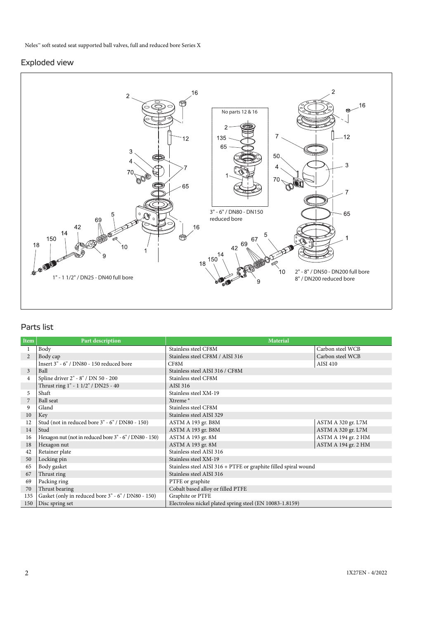#### Exploded view



### Parts list

| Item           | Part description                                       | <b>Material</b>                                                 |                     |  |  |  |  |  |
|----------------|--------------------------------------------------------|-----------------------------------------------------------------|---------------------|--|--|--|--|--|
|                | Body                                                   | Stainless steel CF8M                                            | Carbon steel WCB    |  |  |  |  |  |
| $\mathfrak{D}$ | Body cap                                               | Stainless steel CF8M / AISI 316                                 | Carbon steel WCB    |  |  |  |  |  |
|                | Insert 3" - 6" / DN80 - 150 reduced bore               | CF8M                                                            | AISI 410            |  |  |  |  |  |
| 3              | Ball                                                   | Stainless steel AISI 316 / CF8M                                 |                     |  |  |  |  |  |
| $\overline{4}$ | Spline driver 2" - 8" / DN 50 - 200                    | Stainless steel CF8M                                            |                     |  |  |  |  |  |
|                | Thrust ring 1" - 1 1/2" / DN25 - 40                    | AISI 316                                                        |                     |  |  |  |  |  |
| 5              | Shaft                                                  | Stainless steel XM-19                                           |                     |  |  |  |  |  |
|                | Ball seat                                              | Xtreme <sup>®</sup>                                             |                     |  |  |  |  |  |
| 9              | Gland                                                  | Stainless steel CF8M                                            |                     |  |  |  |  |  |
| 10             | Key                                                    | Stainless steel AISI 329                                        |                     |  |  |  |  |  |
| 12             | Stud (not in reduced bore 3" - 6" / DN80 - 150)        | ASTM A 193 gr. B8M                                              | ASTM A 320 gr. L7M  |  |  |  |  |  |
| 14             | Stud                                                   | ASTM A 193 gr. B8M                                              | ASTM A 320 gr. L7M  |  |  |  |  |  |
| 16             | Hexagon nut (not in reduced bore 3" - 6" / DN80 - 150) | ASTM A 193 gr. 8M                                               | ASTM A 194 gr. 2 HM |  |  |  |  |  |
| 18             | Hexagon nut                                            | ASTM A 193 gr. 8M                                               | ASTM A 194 gr. 2 HM |  |  |  |  |  |
| 42             | Retainer plate                                         | Stainless steel AISI 316                                        |                     |  |  |  |  |  |
| 50             | Locking pin                                            | Stainless steel XM-19                                           |                     |  |  |  |  |  |
| 65             | Body gasket                                            | Stainless steel AISI 316 + PTFE or graphite filled spiral wound |                     |  |  |  |  |  |
| 67             | Thrust ring                                            | Stainless steel AISI 316                                        |                     |  |  |  |  |  |
| 69             | Packing ring                                           | PTFE or graphite                                                |                     |  |  |  |  |  |
| 70             | Thrust bearing                                         | Cobalt based alloy or filled PTFE                               |                     |  |  |  |  |  |
| 135            | Gasket (only in reduced bore 3" - 6" / DN80 - 150)     | Graphite or PTFE                                                |                     |  |  |  |  |  |
| 150            | Disc spring set                                        | Electroless nickel plated spring steel (EN 10083-1.8159)        |                     |  |  |  |  |  |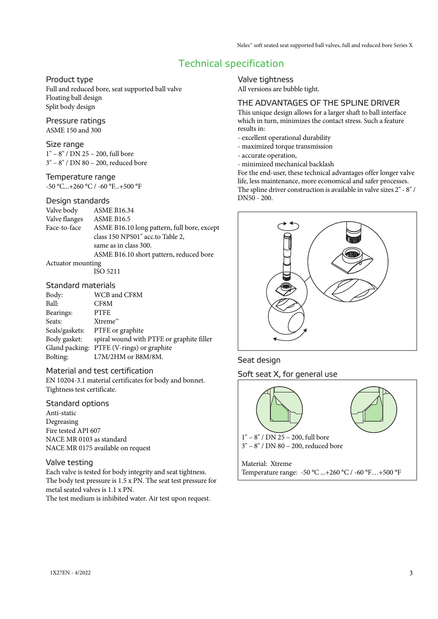# Technical specification

#### Product type

Full and reduced bore, seat supported ball valve Floating ball design Split body design

#### Pressure ratings

ASME 150 and 300

#### Size range

1" – 8" / DN 25 – 200, full bore 3" – 8" / DN 80 – 200, reduced bore

#### Temperature range

 $-50$  °C... $+260$  °C /  $-60$  °F... $+500$  °F

#### Design standards

Valve body ASME B16.34 Valve flanges ASME B16.5 Face-to-face ASME B16.10 long pattern, full bore, except class 150 NPS01" acc.to Table 2, same as in class 300. ASME B16.10 short pattern, reduced bore

#### Actuator mounting

ISO 5211

#### Standard materials

| Body:          | WCB and CF8M                              |
|----------------|-------------------------------------------|
| Ball:          | CF8M                                      |
| Bearings:      | <b>PTFE</b>                               |
| Seats:         | $X$ treme <sup><math>m</math></sup>       |
| Seals/gaskets: | PTFE or graphite                          |
| Body gasket:   | spiral wound with PTFE or graphite filler |
| Gland packing: | PTFE (V-rings) or graphite                |
| Bolting:       | L7M/2HM or B8M/8M.                        |
|                |                                           |

#### Material and test certification

EN 10204-3.1 material certificates for body and bonnet. Tightness test certificate.

#### Standard options

Anti-static Degreasing Fire tested API 607 NACE MR 0103 as standard NACE MR 0175 available on request

#### Valve testing

Each valve is tested for body integrity and seat tightness. The body test pressure is 1.5 x PN. The seat test pressure for metal seated valves is 1.1 x PN.

The test medium is inhibited water. Air test upon request.

Valve tightness All versions are bubble tight.

#### THE ADVANTAGES OF THE SPLINE DRIVER

This unique design allows for a larger shaft to ball interface which in turn, minimizes the contact stress. Such a feature results in:

- excellent operational durability
- maximized torque transmission
- accurate operation,
- minimized mechanical backlash

For the end-user, these technical advantages offer longer valve life, less maintenance, more economical and safer processes. The spline driver construction is available in valve sizes 2" - 8" / DN50 - 200.



#### Seat design

Soft seat X, for general use

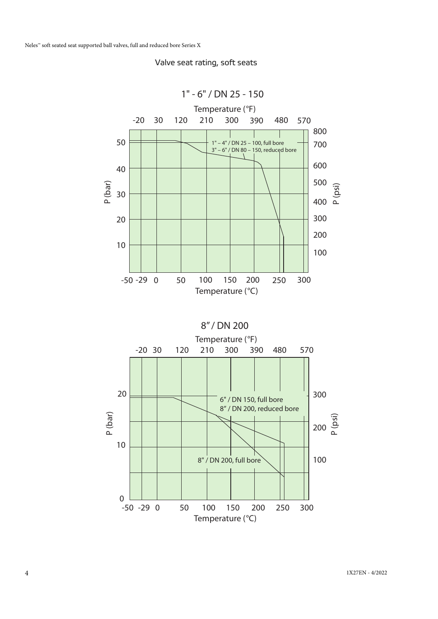

Valve seat rating, soft seats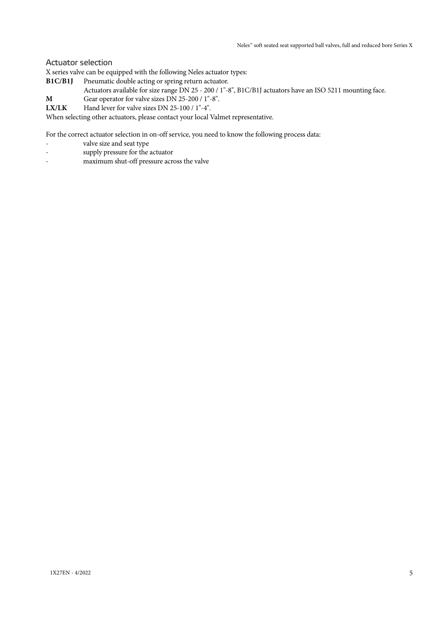#### Actuator selection

X series valve can be equipped with the following Neles actuator types:

**B1C/B1J** Pneumatic double acting or spring return actuator.

Actuators available for size range DN 25 - 200 / 1"-8", B1C/B1J actuators have an ISO 5211 mounting face.

- **M** Gear operator for valve sizes DN 25-200 / 1"-8".
- LX/LK Hand lever for valve sizes DN 25-100 / 1"-4".

When selecting other actuators, please contact your local Valmet representative.

For the correct actuator selection in on-off service, you need to know the following process data:

- valve size and seat type
- supply pressure for the actuator
- maximum shut-off pressure across the valve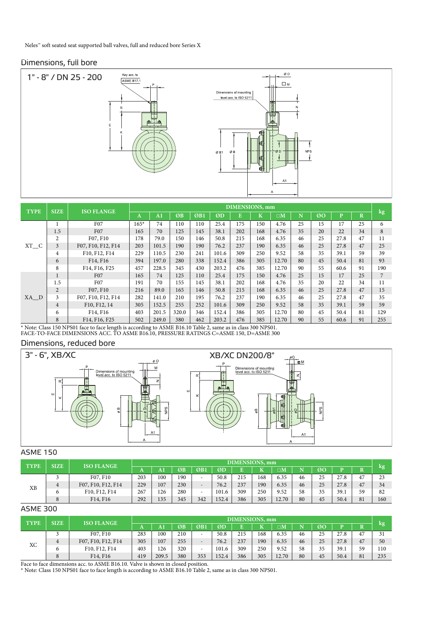#### Dimensions, full bore



| <b>SIZE</b><br><b>TYPE</b><br><b>ISO FLANGE</b> |                |                    | DIMENSIONS, mm |                |       |     |       |     |         |             |     |                |              | $\log$      |     |
|-------------------------------------------------|----------------|--------------------|----------------|----------------|-------|-----|-------|-----|---------|-------------|-----|----------------|--------------|-------------|-----|
|                                                 |                |                    | A              | A <sub>1</sub> | ØB    | ØB1 | ØD    | E   | $\bf K$ | $\square M$ | 'N. | Ø <sub>O</sub> | $\mathbf{p}$ | $\mathbf R$ |     |
|                                                 |                | F <sub>07</sub>    | $165*$         | 74             | 110   | 110 | 25.4  | 175 | 150     | 4.76        | 25  | 15             | 17           | 25          | 6   |
|                                                 | 1.5            | F <sub>07</sub>    | 165            | 70             | 125   | 145 | 38.1  | 202 | 168     | 4.76        | 35  | 20             | 22           | 34          | 8   |
|                                                 | $\overline{c}$ | F07, F10           | 178            | 79.0           | 150   | 146 | 50.8  | 215 | 168     | 6.35        | 46  | 25             | 27.8         | 47          | 11  |
| $XT_C$                                          | 3              | F07, F10, F12, F14 | 203            | 101.5          | 190   | 190 | 76.2  | 237 | 190     | 6.35        | 46  | 25             | 27.8         | 47          | 25  |
|                                                 | 4              | F10, F12, F14      | 229            | 110.5          | 230   | 241 | 101.6 | 309 | 250     | 9.52        | 58  | 35             | 39.1         | 59          | 39  |
|                                                 | 6              | F14, F16           | 394            | 197.0          | 280   | 338 | 152.4 | 386 | 305     | 12.70       | 80  | 45             | 50.4         | 81          | 93  |
|                                                 | 8              | F14, F16, F25      | 457            | 228.5          | 345   | 430 | 203.2 | 476 | 385     | 12.70       | 90  | 55             | 60.6         | 91          | 190 |
|                                                 |                | F <sub>07</sub>    | 165            | 74             | 125   | 110 | 25.4  | 175 | 150     | 4.76        | 25  | 15             | 17           | 25          | 7   |
|                                                 | 1.5            | F07                | 191            | 70             | 155   | 145 | 38.1  | 202 | 168     | 4.76        | 35  | 20             | 22           | 34          | 11  |
|                                                 | $\overline{2}$ | F07, F10           | 216            | 89.0           | 165   | 146 | 50.8  | 215 | 168     | 6.35        | 46  | 25             | 27.8         | 47          | 15  |
| XA D                                            | 3              | F07, F10, F12, F14 | 282            | 141.0          | 210   | 195 | 76.2  | 237 | 190     | 6.35        | 46  | 25             | 27.8         | 47          | 35  |
|                                                 | $\overline{4}$ | F10, F12, 14       | 305            | 152.5          | 255   | 252 | 101.6 | 309 | 250     | 9.52        | 58  | 35             | 39.1         | 59          | 59  |
|                                                 | 6              | F14, F16           | 403            | 201.5          | 320.0 | 346 | 152.4 | 386 | 305     | 12.70       | 80  | 45             | 50.4         | 81          | 129 |
|                                                 | 8              | F14, F16, F25      | 502            | 249.0          | 380   | 462 | 203.2 | 476 | 385     | 12.70       | 90  | 55             | 60.6         | 91          | 255 |

## \* Note: Class 150 NPS01 face to face length is according to ASME B16.10 Table 2, same as in class 300 NPS01. FACE-TO-FACE DIMENSIONS ACC. TO ASME B16.10, PRESSURE RATINGS C=ASME 150, D=ASME 300

#### Dimensions, reduced bore



#### ASME 150

| <b>SIZE</b><br><b>TYPE</b><br><b>ISO FLANGE</b> |   |                                   |     | <b>DIMENSIONS</b> , mm |     |        |       |     |     |                      |    |    |      |    |      |
|-------------------------------------------------|---|-----------------------------------|-----|------------------------|-----|--------|-------|-----|-----|----------------------|----|----|------|----|------|
|                                                 |   |                                   |     | A <sub>1</sub>         | ØB  | ØB1    | ØD    |     |     | $\square \mathbf{M}$ |    | ØO |      |    | lkg! |
|                                                 |   | F07, F10                          | 203 | 100                    | 190 |        | 50.8  | 215 | 168 | 6.35                 | 46 | 25 | 27.8 | 47 | 23   |
|                                                 | 4 | F07, F10, F12, F14                | 229 | 107                    | 230 |        | 76.2  | 237 | 190 | 6.35                 | 46 | 25 | 27.8 | 47 | 34   |
| XB                                              |   | F10, F12, F14                     | 267 | 126                    | 280 | $\sim$ | 101.6 | 309 | 250 | 9.52                 | 58 | 35 | 39.1 | 59 | 82   |
|                                                 | 8 | F <sub>14</sub> , F <sub>16</sub> | 292 | 135                    | 345 | 342    | 152.4 | 386 | 305 | 12.70                | 80 | 45 | 50.4 | 81 | 160  |

#### ASME 300

|                            |   | <b>ISO FLANGE</b>  |     | <b>DIMENSIONS</b> , mm |     |                          |       |     |     |                  |    |    |      |    |      |
|----------------------------|---|--------------------|-----|------------------------|-----|--------------------------|-------|-----|-----|------------------|----|----|------|----|------|
| <b>TYPE</b><br><b>SIZE</b> |   |                    | m   | $\bf{A}1$              | ØB  | ØB <sub>1</sub>          | ØD    |     | יי  | $\Box\mathrm{M}$ |    | ØO |      |    | lkg' |
|                            |   | F07, F10           | 283 | 100                    | 210 |                          | 50.8  | 215 | 168 | 6.35             | 46 | 25 | 27.8 | 47 | 31   |
|                            | 4 | F07, F10, F12, F14 | 305 | 107                    | 255 | $\overline{\phantom{0}}$ | 76.2  | 237 | 190 | 6.35             | 46 | 25 | 27.8 | 47 | 50   |
| ХC                         | O | F10, F12, F14      | 403 | 126                    | 320 | $\overline{\phantom{a}}$ | 101.6 | 309 | 250 | 9.52             | 58 | 35 | 39.1 | 59 | 110  |
|                            | 8 | F14, F16           | 419 | 209.5                  | 380 | 353                      | 152.4 | 386 | 305 | 12.70            | 80 | 45 | 50.4 | 81 | 235  |

NOTE: Class 150 NP301 face to face length is according to ASME B10.10 Table 2, same as in class 500 NP301. Face to face dimensions acc. to ASME B16.10. Valve is shown in closed position. \* Note: Class 150 NPS01 face to face length is according to ASME B16.10 Table 2, same as in class 300 NPS01.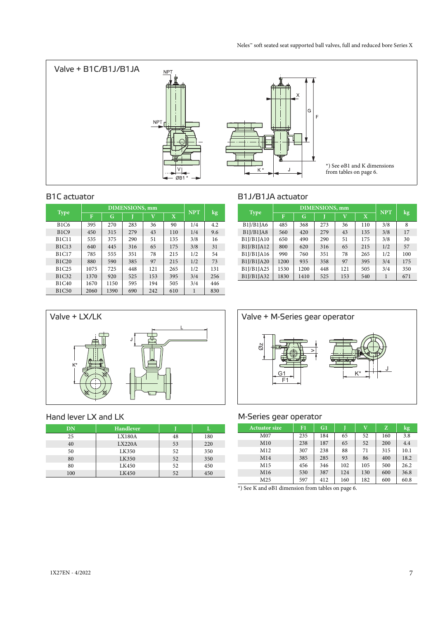

|              |      | <b>DIMENSIONS</b> , mm | <b>NPT</b> |                         |             |     |     |
|--------------|------|------------------------|------------|-------------------------|-------------|-----|-----|
| <b>Type</b>  | F    | G                      |            | $\overline{\mathbf{V}}$ | $\mathbf X$ |     | kg  |
| <b>B1C6</b>  | 395  | 270                    | 283        | 36                      | 90          | 1/4 | 4.2 |
| B1C9         | 450  | 315                    | 279        | 43                      | 110         | 1/4 | 9.6 |
| <b>B1C11</b> | 535  | 375                    | 290        | 51                      | 135         | 3/8 | 16  |
| <b>B1C13</b> | 640  | 445                    | 316        | 65                      | 175         | 3/8 | 31  |
| <b>B1C17</b> | 785  | 555                    | 351        | 78                      | 215         | 1/2 | 54  |
| B1C20        | 880  | 590                    | 385        | 97                      | 215         | 1/2 | 73  |
| B1C25        | 1075 | 725                    | 448        | 121                     | 265         | 1/2 | 131 |
| B1C32        | 1370 | 920                    | 525        | 153                     | 395         | 3/4 | 256 |
| <b>B1C40</b> | 1670 | 1150                   | 595        | 194                     | 505         | 3/4 | 446 |
| <b>B1C50</b> | 2060 | 1390                   | 690        | 242                     | 610         | 1   | 830 |

#### B1C actuator B1J/B1JA actuator

| <b>Type</b> |      | <b>DIMENSIONS</b> , mm | <b>NPT</b>              |     |             |     |     |
|-------------|------|------------------------|-------------------------|-----|-------------|-----|-----|
|             | F    | G                      | $\overline{\mathbf{V}}$ |     | $\mathbf X$ |     | kg  |
| B1J/B1JA6   | 485  | 368                    | 273                     | 36  | 110         | 3/8 | 8   |
| B1J/B1JA8   | 560  | 420                    | 279                     | 43  | 135         | 3/8 | 17  |
| B1J/B1JA10  | 650  | 490                    | 290                     | 51  | 175         | 3/8 | 30  |
| B1J/B1JA12  | 800  | 620                    | 316                     | 65  | 215         | 1/2 | 57  |
| B1J/B1JA16  | 990  | 760                    | 351                     | 78  | 265         | 1/2 | 100 |
| B1J/B1JA20  | 1200 | 935                    | 358                     | 97  | 395         | 3/4 | 175 |
| B1J/B1JA25  | 1530 | 1200                   | 448                     | 121 | 505         | 3/4 | 350 |
| B1J/B1JA32  | 1830 | 1410                   | 525                     | 153 | 540         | 1   | 671 |



#### Hand lever LX and LK

| DN  | <b>Handlever</b> |    |     |
|-----|------------------|----|-----|
| 25  | <b>LX180A</b>    | 48 | 180 |
| 40  | LX220A           | 53 | 220 |
| 50  | LK350            | 52 | 350 |
| 80  | LK350            | 52 | 350 |
| 80  | LK450            | 52 | 450 |
| 100 | LK450            | 52 | 450 |



#### M-Series gear operator

| <b>Actuator size</b> | F1  | G1  |     | $\bar{\text{V}}$ | z   | kg,  |
|----------------------|-----|-----|-----|------------------|-----|------|
| M <sub>07</sub>      | 235 | 184 | 65  | 52               | 160 | 3.8  |
| M10                  | 238 | 187 | 65  | 52               | 200 | 4.4  |
| M12                  | 307 | 238 | 88  | 71               | 315 | 10.1 |
| M14                  | 385 | 285 | 93  | 86               | 400 | 18.2 |
| M15                  | 456 | 346 | 102 | 105              | 500 | 26.2 |
| M16                  | 530 | 387 | 124 | 130              | 600 | 36.8 |
| M <sub>25</sub>      | 597 | 412 | 160 | 182              | 600 | 60.8 |

\*) See K and øB1 dimension from tables on page 6.